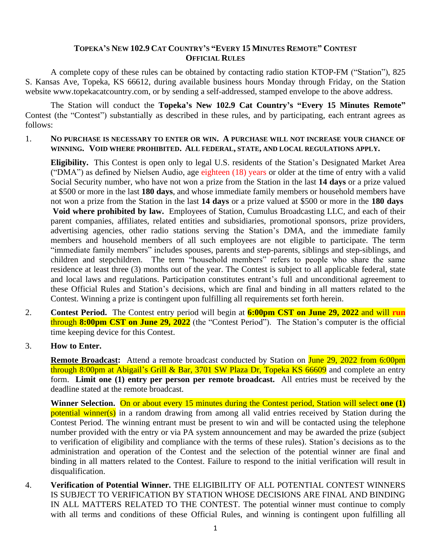## TOPEKA'S NEW 102.9 CAT COUNTRY'S "EVERY 15 MINUTES REMOTE" CONTEST **OFFICIAL RULES**

A complete copy of these rules can be obtained by contacting radio station KTOP-FM ("Station"), 825 S. Kansas Ave, Topeka, KS 66612, during available business hours Monday through Friday, on the Station website www.topekacatcountry.com, or by sending a self-addressed, stamped envelope to the above address.

The Station will conduct the **Topeka's New 102.9 Cat Country's "Every 15 Minutes Remote"**  Contest (the "Contest") substantially as described in these rules, and by participating, each entrant agrees as follows:

## 1. **NO PURCHASE IS NECESSARY TO ENTER OR WIN. A PURCHASE WILL NOT INCREASE YOUR CHANCE OF WINNING. VOID WHERE PROHIBITED. ALL FEDERAL, STATE, AND LOCAL REGULATIONS APPLY.**

**Eligibility.** This Contest is open only to legal U.S. residents of the Station's Designated Market Area ("DMA") as defined by Nielsen Audio, age eighteen (18) years or older at the time of entry with a valid Social Security number, who have not won a prize from the Station in the last **14 days** or a prize valued at \$500 or more in the last **180 days**, and whose immediate family members or household members have not won a prize from the Station in the last **14 days** or a prize valued at \$500 or more in the **180 days Void where prohibited by law.** Employees of Station, Cumulus Broadcasting LLC, and each of their parent companies, affiliates, related entities and subsidiaries, promotional sponsors, prize providers, advertising agencies, other radio stations serving the Station's DMA, and the immediate family members and household members of all such employees are not eligible to participate. The term "immediate family members" includes spouses, parents and step-parents, siblings and step-siblings, and children and stepchildren. The term "household members" refers to people who share the same residence at least three (3) months out of the year. The Contest is subject to all applicable federal, state and local laws and regulations. Participation constitutes entrant's full and unconditional agreement to these Official Rules and Station's decisions, which are final and binding in all matters related to the Contest. Winning a prize is contingent upon fulfilling all requirements set forth herein.

- 2. **Contest Period.** The Contest entry period will begin at **6:00pm CST on June 29, 2022** and will **run**  through **8:00pm CST on June 29, 2022** (the "Contest Period"). The Station's computer is the official time keeping device for this Contest.
- 3. **How to Enter.**

**Remote Broadcast:** Attend a remote broadcast conducted by Station on June 29, 2022 from 6:00pm through 8:00pm at Abigail's Grill & Bar, 3701 SW Plaza Dr, Topeka KS 66609 and complete an entry form. **Limit one (1) entry per person per remote broadcast.** All entries must be received by the deadline stated at the remote broadcast.

**Winner Selection.** On or about every 15 minutes during the Contest period, Station will select **one (1)** potential winner(s) in a random drawing from among all valid entries received by Station during the Contest Period. The winning entrant must be present to win and will be contacted using the telephone number provided with the entry or via PA system announcement and may be awarded the prize (subject to verification of eligibility and compliance with the terms of these rules). Station's decisions as to the administration and operation of the Contest and the selection of the potential winner are final and binding in all matters related to the Contest. Failure to respond to the initial verification will result in disqualification.

4. **Verification of Potential Winner.** THE ELIGIBILITY OF ALL POTENTIAL CONTEST WINNERS IS SUBJECT TO VERIFICATION BY STATION WHOSE DECISIONS ARE FINAL AND BINDING IN ALL MATTERS RELATED TO THE CONTEST. The potential winner must continue to comply with all terms and conditions of these Official Rules, and winning is contingent upon fulfilling all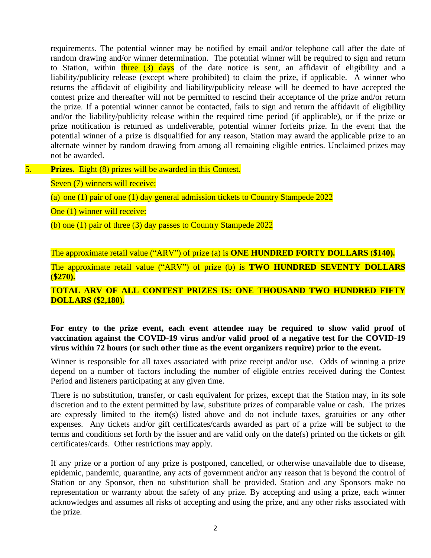requirements. The potential winner may be notified by email and/or telephone call after the date of random drawing and/or winner determination. The potential winner will be required to sign and return to Station, within three  $(3)$  days of the date notice is sent, an affidavit of eligibility and a liability/publicity release (except where prohibited) to claim the prize, if applicable. A winner who returns the affidavit of eligibility and liability/publicity release will be deemed to have accepted the contest prize and thereafter will not be permitted to rescind their acceptance of the prize and/or return the prize. If a potential winner cannot be contacted, fails to sign and return the affidavit of eligibility and/or the liability/publicity release within the required time period (if applicable), or if the prize or prize notification is returned as undeliverable, potential winner forfeits prize. In the event that the potential winner of a prize is disqualified for any reason, Station may award the applicable prize to an alternate winner by random drawing from among all remaining eligible entries. Unclaimed prizes may not be awarded.

5. **Prizes.** Eight (8) prizes will be awarded in this Contest.

Seven (7) winners will receive:

(a) one (1) pair of one (1) day general admission tickets to Country Stampede 2022

One (1) winner will receive:

(b) one (1) pair of three (3) day passes to Country Stampede 2022

The approximate retail value ("ARV") of prize (a) is **ONE HUNDRED FORTY DOLLARS** (**\$140).** 

The approximate retail value ("ARV") of prize (b) is **TWO HUNDRED SEVENTY DOLLARS** (**\$270).** 

## **TOTAL ARV OF ALL CONTEST PRIZES IS: ONE THOUSAND TWO HUNDRED FIFTY DOLLARS (\$2,180).**

**For entry to the prize event, each event attendee may be required to show valid proof of vaccination against the COVID-19 virus and/or valid proof of a negative test for the COVID-19 virus within 72 hours (or such other time as the event organizers require) prior to the event.**

Winner is responsible for all taxes associated with prize receipt and/or use. Odds of winning a prize depend on a number of factors including the number of eligible entries received during the Contest Period and listeners participating at any given time.

There is no substitution, transfer, or cash equivalent for prizes, except that the Station may, in its sole discretion and to the extent permitted by law, substitute prizes of comparable value or cash. The prizes are expressly limited to the item(s) listed above and do not include taxes, gratuities or any other expenses. Any tickets and/or gift certificates/cards awarded as part of a prize will be subject to the terms and conditions set forth by the issuer and are valid only on the date(s) printed on the tickets or gift certificates/cards. Other restrictions may apply.

If any prize or a portion of any prize is postponed, cancelled, or otherwise unavailable due to disease, epidemic, pandemic, quarantine, any acts of government and/or any reason that is beyond the control of Station or any Sponsor, then no substitution shall be provided. Station and any Sponsors make no representation or warranty about the safety of any prize. By accepting and using a prize, each winner acknowledges and assumes all risks of accepting and using the prize, and any other risks associated with the prize.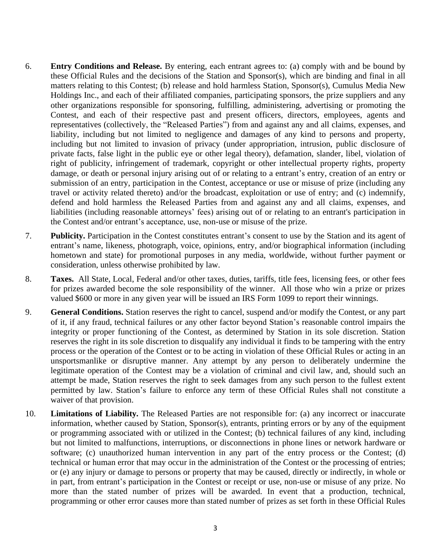- 6. **Entry Conditions and Release.** By entering, each entrant agrees to: (a) comply with and be bound by these Official Rules and the decisions of the Station and Sponsor(s), which are binding and final in all matters relating to this Contest; (b) release and hold harmless Station, Sponsor(s), Cumulus Media New Holdings Inc., and each of their affiliated companies, participating sponsors, the prize suppliers and any other organizations responsible for sponsoring, fulfilling, administering, advertising or promoting the Contest, and each of their respective past and present officers, directors, employees, agents and representatives (collectively, the "Released Parties") from and against any and all claims, expenses, and liability, including but not limited to negligence and damages of any kind to persons and property, including but not limited to invasion of privacy (under appropriation, intrusion, public disclosure of private facts, false light in the public eye or other legal theory), defamation, slander, libel, violation of right of publicity, infringement of trademark, copyright or other intellectual property rights, property damage, or death or personal injury arising out of or relating to a entrant's entry, creation of an entry or submission of an entry, participation in the Contest, acceptance or use or misuse of prize (including any travel or activity related thereto) and/or the broadcast, exploitation or use of entry; and (c) indemnify, defend and hold harmless the Released Parties from and against any and all claims, expenses, and liabilities (including reasonable attorneys' fees) arising out of or relating to an entrant's participation in the Contest and/or entrant's acceptance, use, non-use or misuse of the prize.
- 7. **Publicity.** Participation in the Contest constitutes entrant's consent to use by the Station and its agent of entrant's name, likeness, photograph, voice, opinions, entry, and/or biographical information (including hometown and state) for promotional purposes in any media, worldwide, without further payment or consideration, unless otherwise prohibited by law.
- 8. **Taxes.** All State, Local, Federal and/or other taxes, duties, tariffs, title fees, licensing fees, or other fees for prizes awarded become the sole responsibility of the winner. All those who win a prize or prizes valued \$600 or more in any given year will be issued an IRS Form 1099 to report their winnings.
- 9. **General Conditions.** Station reserves the right to cancel, suspend and/or modify the Contest, or any part of it, if any fraud, technical failures or any other factor beyond Station's reasonable control impairs the integrity or proper functioning of the Contest, as determined by Station in its sole discretion. Station reserves the right in its sole discretion to disqualify any individual it finds to be tampering with the entry process or the operation of the Contest or to be acting in violation of these Official Rules or acting in an unsportsmanlike or disruptive manner. Any attempt by any person to deliberately undermine the legitimate operation of the Contest may be a violation of criminal and civil law, and, should such an attempt be made, Station reserves the right to seek damages from any such person to the fullest extent permitted by law. Station's failure to enforce any term of these Official Rules shall not constitute a waiver of that provision.
- 10. **Limitations of Liability.** The Released Parties are not responsible for: (a) any incorrect or inaccurate information, whether caused by Station, Sponsor(s), entrants, printing errors or by any of the equipment or programming associated with or utilized in the Contest; (b) technical failures of any kind, including but not limited to malfunctions, interruptions, or disconnections in phone lines or network hardware or software; (c) unauthorized human intervention in any part of the entry process or the Contest; (d) technical or human error that may occur in the administration of the Contest or the processing of entries; or (e) any injury or damage to persons or property that may be caused, directly or indirectly, in whole or in part, from entrant's participation in the Contest or receipt or use, non-use or misuse of any prize. No more than the stated number of prizes will be awarded. In event that a production, technical, programming or other error causes more than stated number of prizes as set forth in these Official Rules